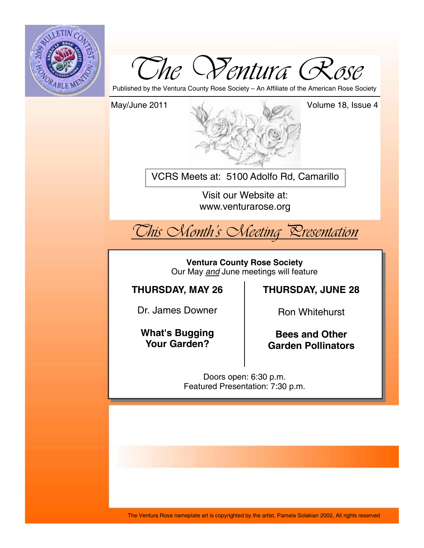



Published by the Ventura County Rose Society – An Affiliate of the American Rose Society

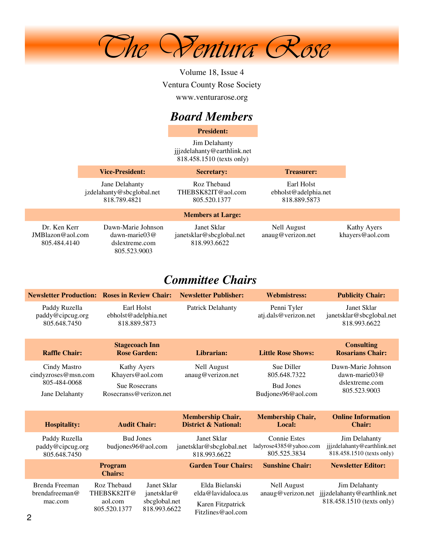

Volume 18, Issue 4 Ventura County Rose Society www.venturarose.org

## *Board Members*

**President:**

Jim Delahanty jjjzdelahanty@earthlink.net 818.458.1510 (texts only)

|                                                     | <b>Vice-President:</b>                                                         | <b>Secretary:</b>                                       | <b>Treasurer:</b>                                  |                                |
|-----------------------------------------------------|--------------------------------------------------------------------------------|---------------------------------------------------------|----------------------------------------------------|--------------------------------|
|                                                     | Jane Delahanty<br>jzdelahanty@sbcglobal.net<br>818.789.4821                    | Roz Thebaud<br>THEBSK82IT@aol.com<br>805.520.1377       | Earl Holst<br>ebholst@adelphia.net<br>818.889.5873 |                                |
|                                                     |                                                                                | <b>Members at Large:</b>                                |                                                    |                                |
| Dr. Ken Kerr<br>$JMB$ lazon@aol.com<br>805.484.4140 | Dawn-Marie Johnson<br>$dawn\text{-}marie03@$<br>dslextreme.com<br>805.523.9003 | Janet Sklar<br>janetsklar@sbcglobal.net<br>818.993.6622 | Nell August<br>anaug@verizon.net                   | Kathy Ayers<br>khayers@aol.com |

## *Committee Chairs*

|                                                                       | <b>Newsletter Production: Roses in Review Chair:</b>                                                                 | <b>Newsletter Publisher:</b>                                                   | <b>Webmistress:</b>                                                  | <b>Publicity Chair:</b>                                                   |
|-----------------------------------------------------------------------|----------------------------------------------------------------------------------------------------------------------|--------------------------------------------------------------------------------|----------------------------------------------------------------------|---------------------------------------------------------------------------|
| Paddy Ruzella<br>paddy@cipcug.org<br>805.648.7450                     | Earl Holst<br>ebholst@adelphia.net<br>818.889.5873                                                                   | <b>Patrick Delahanty</b>                                                       | Penni Tyler<br>atj.dals@verizon.net                                  | Janet Sklar<br>janetsklar@sbcglobal.net<br>818.993.6622                   |
| <b>Raffle Chair:</b>                                                  | <b>Stagecoach Inn</b><br><b>Rose Garden:</b>                                                                         | Librarian:                                                                     | <b>Little Rose Shows:</b>                                            | <b>Consulting</b><br><b>Rosarians Chair:</b>                              |
| Cindy Mastro<br>cindyzroses@msn.com<br>805-484-0068<br>Jane Delahanty | Kathy Ayers<br>Khayers@aol.com<br><b>Sue Rosecrans</b><br>Rosecranss@verizon.net                                     | <b>Nell August</b><br>anaug@verizon.net                                        | Sue Diller<br>805.648.7322<br><b>Bud Jones</b><br>Budjones96@aol.com | Dawn-Marie Johnson<br>dawn-marie $03@$<br>dslextreme.com<br>805.523.9003  |
| <b>Hospitality:</b>                                                   | <b>Audit Chair:</b>                                                                                                  | <b>Membership Chair,</b><br><b>District &amp; National:</b>                    | <b>Membership Chair,</b><br>Local:                                   | <b>Online Information</b><br><b>Chair:</b>                                |
| Paddy Ruzella<br>paddy@cipcug.org<br>805.648.7450                     | <b>Bud Jones</b><br>budjones96@aol.com                                                                               | Janet Sklar<br>janetsklar@sbcglobal.net<br>818.993.6622                        | <b>Connie Estes</b><br>ladyrose4385@yahoo.com<br>805.525.3834        | Jim Delahanty<br>jjjzdelahanty@earthlink.net<br>818.458.1510 (texts only) |
|                                                                       | Program<br><b>Chairs:</b>                                                                                            | <b>Garden Tour Chairs:</b>                                                     | <b>Sunshine Chair:</b>                                               | <b>Newsletter Editor:</b>                                                 |
| Brenda Freeman<br>brendafreeman@<br>mac.com                           | Roz Thebaud<br>Janet Sklar<br>THEBSK82IT@<br>janetsklar@<br>sbcglobal.net<br>aol.com<br>818.993.6622<br>805.520.1377 | Elda Bielanski<br>elda@lavidaloca.us<br>Karen Fitzpatrick<br>Fitzlines@aol.com | <b>Nell August</b><br>anaug@verizon.net                              | Jim Delahanty<br>jjjzdelahanty@earthlink.net<br>818.458.1510 (texts only) |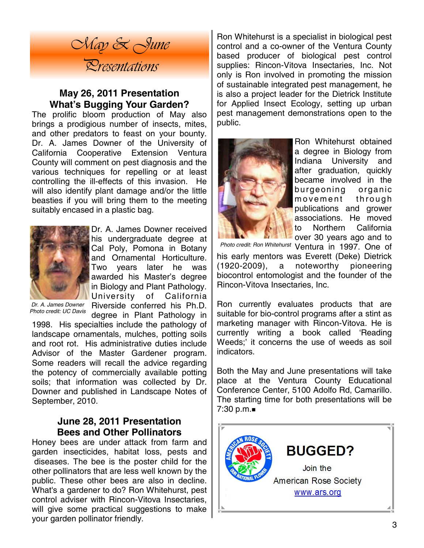

### **May 26, 2011 Presentation What's Bugging Your Garden?**

The prolific bloom production of May also brings a prodigious number of insects, mites, and other predators to feast on your bounty. Dr. A. James Downer of the University of California Cooperative Extension Ventura County will comment on pest diagnosis and the various techniques for repelling or at least controlling the ill-effects of this invasion. He will also identify plant damage and/or the little beasties if you will bring them to the meeting suitably encased in a plastic bag.



Dr. A. James Downer received his undergraduate degree at Cal Poly, Pomona in Botany and Ornamental Horticulture. Two years later he was awarded his Master's degree in Biology and Plant Pathology. University of California Riverside conferred his Ph.D.

*Dr. A. James Downer Photo credit: UC Davis* 

degree in Plant Pathology in 1998. His specialties include the pathology of landscape ornamentals, mulches, potting soils and root rot. His administrative duties include Advisor of the Master Gardener program. Some readers will recall the advice regarding the potency of commercially available potting soils; that information was collected by Dr. Downer and published in Landscape Notes of September, 2010.

### **June 28, 2011 Presentation Bees and Other Pollinators**

Honey bees are under attack from farm and garden insecticides, habitat loss, pests and diseases. The bee is the poster child for the other pollinators that are less well known by the public. These other bees are also in decline. What's a gardener to do? Ron Whitehurst, pest control adviser with Rincon-Vitova Insectaries, will give some practical suggestions to make your garden pollinator friendly.

Ron Whitehurst is a specialist in biological pest control and a co-owner of the Ventura County based producer of biological pest control supplies: Rincon-Vitova Insectaries, Inc. Not only is Ron involved in promoting the mission of sustainable integrated pest management, he is also a project leader for the Dietrick Institute for Applied Insect Ecology, setting up urban pest management demonstrations open to the public.



Ron Whitehurst obtained a degree in Biology from Indiana University and after graduation, quickly became involved in the burgeoning organic movement through publications and grower associations. He moved to Northern California over 30 years ago and to

Photo credit: Ron Whitehurst Ventura in 1997. One of his early mentors was Everett (Deke) Dietrick (1920-2009), a noteworthy pioneering biocontrol entomologist and the founder of the

Rincon-Vitova Insectaries, Inc.

Ron currently evaluates products that are suitable for bio-control programs after a stint as marketing manager with Rincon-Vitova. He is currently writing a book called 'Reading Weeds;' it concerns the use of weeds as soil indicators.

Both the May and June presentations will take place at the Ventura County Educational Conference Center, 5100 Adolfo Rd, Camarillo. The starting time for both presentations will be 7:30 p.m.

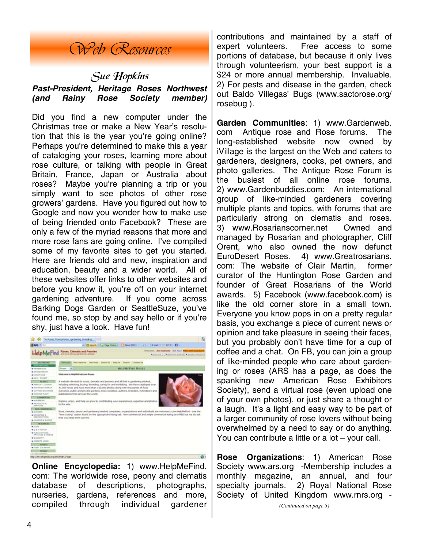## *Web Resources*

## Sue Hopkins *Past-President, Heritage Roses Northwest (and Rainy Rose Society member)*

Did you find a new computer under the Christmas tree or make a New Year's resolution that this is the year you're going online? Perhaps you're determined to make this a year of cataloging your roses, learning more about rose culture, or talking with people in Great Britain, France, Japan or Australia about roses? Maybe you're planning a trip or you simply want to see photos of other rose growers' gardens. Have you figured out how to Google and now you wonder how to make use of being friended onto Facebook? These are only a few of the myriad reasons that more and more rose fans are going online. I've compiled some of my favorite sites to get you started. Here are friends old and new, inspiration and education, beauty and a wider world. All of these websites offer links to other websites and before you know it, you're off on your internet gardening adventure. If you come across Barking Dogs Garden or SeattleSuze, you've found me, so stop by and say hello or if you're shy, just have a look. Have fun!



**Online Encyclopedia:** 1) www.HelpMeFind. com: The worldwide rose, peony and clematis database of descriptions, photographs, nurseries, gardens, references and more, compiled through individual gardener contributions and maintained by a staff of expert volunteers. Free access to some portions of database, but because it only lives through volunteerism, your best support is a \$24 or more annual membership. Invaluable. 2) For pests and disease in the garden, check out Baldo Villegas' Bugs (www.sactorose.org/ rosebug ).

**Garden Communities**: 1) www.Gardenweb. com Antique rose and Rose forums. The long-established website now owned by iVillage is the largest on the Web and caters to gardeners, designers, cooks, pet owners, and photo galleries. The Antique Rose Forum is the busiest of all online rose forums. 2) www.Gardenbuddies.com: An international group of like-minded gardeners covering multiple plants and topics, with forums that are particularly strong on clematis and roses. 3) www.Rosarianscorner.net Owned and managed by Rosarian and photographer, Cliff Orent, who also owned the now defunct EuroDesert Roses. 4) www.Greatrosarians. com: The website of Clair Martin, former curator of the Huntington Rose Garden and founder of Great Rosarians of the World awards. 5) Facebook (www.facebook.com) is like the old corner store in a small town. Everyone you know pops in on a pretty regular basis, you exchange a piece of current news or opinion and take pleasure in seeing their faces, but you probably don't have time for a cup of coffee and a chat. On FB, you can join a group of like-minded people who care about gardening or roses (ARS has a page, as does the spanking new American Rose Exhibitors Society), send a virtual rose (even upload one of your own photos), or just share a thought or a laugh. It's a light and easy way to be part of a larger community of rose lovers without being overwhelmed by a need to say or do anything. You can contribute a little or a lot – your call.

**Rose Organizations**: 1) American Rose Society www.ars.org -Membership includes a monthly magazine, an annual, and four specialty journals. 2) Royal National Rose Society of United Kingdom www.rnrs.org -

*<sup>(</sup>Continued on page 5)*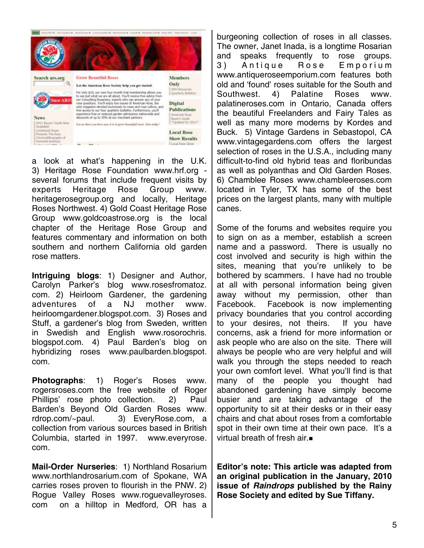

a look at what's happening in the U.K. 3) Heritage Rose Foundation www.hrf.org several forums that include frequent visits by experts Heritage Rose Group www. heritagerosegroup.org and locally, Heritage Roses Northwest. 4) Gold Coast Heritage Rose Group www.goldcoastrose.org is the local chapter of the Heritage Rose Group and features commentary and information on both southern and northern California old garden rose matters.

**Intriguing blogs**: 1) Designer and Author, Carolyn Parker's blog www.rosesfromatoz. com. 2) Heirloom Gardener, the gardening adventures of a NJ mother www. heirloomgardener.blogspot.com. 3) Roses and Stuff, a gardener's blog from Sweden, written in Swedish and English www.rosorochris. blogspot.com. 4) Paul Barden's blog on hybridizing roses www.paulbarden.blogspot. com.

**Photographs**: 1) Roger's Roses www. rogersroses.com the free website of Roger Phillips' rose photo collection. 2) Paul Barden's Beyond Old Garden Roses www. rdrop.com/~paul. 3) EveryRose.com, a collection from various sources based in British Columbia, started in 1997. www.everyrose. com.

**Mail-Order Nurseries**: 1) Northland Rosarium www.northlandrosarium.com of Spokane, WA carries roses proven to flourish in the PNW. 2) Rogue Valley Roses www.roguevalleyroses. com on a hilltop in Medford, OR has a

burgeoning collection of roses in all classes. The owner, Janet Inada, is a longtime Rosarian and speaks frequently to rose groups. 3) Antique Rose Emporium www.antiqueroseemporium.com features both old and 'found' roses suitable for the South and Southwest. 4) Palatine Roses www. palatineroses.com in Ontario, Canada offers the beautiful Freelanders and Fairy Tales as well as many more moderns by Kordes and Buck. 5) Vintage Gardens in Sebastopol, CA www.vintagegardens.com offers the largest selection of roses in the U.S.A., including many difficult-to-find old hybrid teas and floribundas as well as polyanthas and Old Garden Roses. 6) Chamblee Roses www.chambleeroses.com located in Tyler, TX has some of the best prices on the largest plants, many with multiple canes.

Some of the forums and websites require you to sign on as a member, establish a screen name and a password. There is usually no cost involved and security is high within the sites, meaning that you're unlikely to be bothered by scammers. I have had no trouble at all with personal information being given away without my permission, other than Facebook. Facebook is now implementing privacy boundaries that you control according to your desires, not theirs. If you have concerns, ask a friend for more information or ask people who are also on the site. There will always be people who are very helpful and will walk you through the steps needed to reach your own comfort level. What you'll find is that many of the people you thought had abandoned gardening have simply become busier and are taking advantage of the opportunity to sit at their desks or in their easy chairs and chat about roses from a comfortable spot in their own time at their own pace. It's a virtual breath of fresh air.

**Editor's note: This article was adapted from an original publication in the January, 2010 issue of** *Raindrops* **published by the Rainy Rose Society and edited by Sue Tiffany.**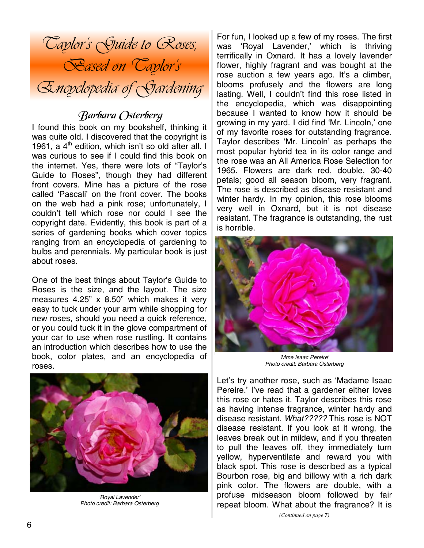

## Barbara Osterberg

I found this book on my bookshelf, thinking it was quite old. I discovered that the copyright is 1961, a  $4^{\text{th}}$  edition, which isn't so old after all. I was curious to see if I could find this book on the internet. Yes, there were lots of "Taylor's Guide to Roses", though they had different front covers. Mine has a picture of the rose called 'Pascali' on the front cover. The books on the web had a pink rose; unfortunately, I couldn't tell which rose nor could I see the copyright date. Evidently, this book is part of a series of gardening books which cover topics ranging from an encyclopedia of gardening to bulbs and perennials. My particular book is just about roses.

One of the best things about Taylor's Guide to Roses is the size, and the layout. The size measures 4.25" x 8.50" which makes it very easy to tuck under your arm while shopping for new roses, should you need a quick reference, or you could tuck it in the glove compartment of your car to use when rose rustling. It contains an introduction which describes how to use the book, color plates, and an encyclopedia of roses.



*'Royal Lavender' Photo credit: Barbara Osterberg* 

For fun, I looked up a few of my roses. The first was 'Royal Lavender,' which is thriving terrifically in Oxnard. It has a lovely lavender flower, highly fragrant and was bought at the rose auction a few years ago. It's a climber, blooms profusely and the flowers are long lasting. Well, I couldn't find this rose listed in the encyclopedia, which was disappointing because I wanted to know how it should be growing in my yard. I did find 'Mr. Lincoln,' one of my favorite roses for outstanding fragrance. Taylor describes 'Mr. Lincoln' as perhaps the most popular hybrid tea in its color range and the rose was an All America Rose Selection for 1965. Flowers are dark red, double, 30-40 petals; good all season bloom, very fragrant. The rose is described as disease resistant and winter hardy. In my opinion, this rose blooms very well in Oxnard, but it is not disease resistant. The fragrance is outstanding, the rust is horrible.



*'Mme Isaac Pereire' Photo credit: Barbara Osterberg* 

Let's try another rose, such as 'Madame Isaac Pereire.' I've read that a gardener either loves this rose or hates it. Taylor describes this rose as having intense fragrance, winter hardy and disease resistant. *What?????* This rose is NOT disease resistant. If you look at it wrong, the leaves break out in mildew, and if you threaten to pull the leaves off, they immediately turn yellow, hyperventilate and reward you with black spot. This rose is described as a typical Bourbon rose, big and billowy with a rich dark pink color. The flowers are double, with a profuse midseason bloom followed by fair repeat bloom. What about the fragrance? It is

*(Continued on page 7)*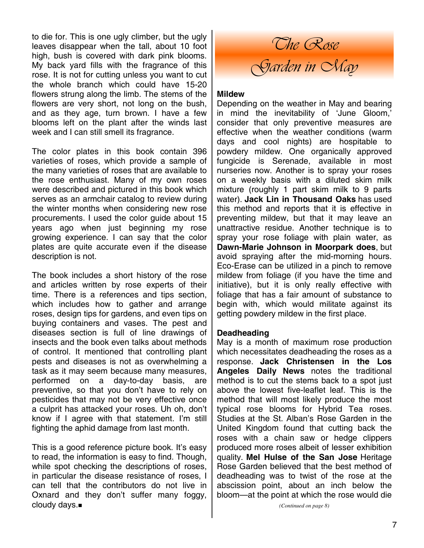to die for. This is one ugly climber, but the ugly leaves disappear when the tall, about 10 foot high, bush is covered with dark pink blooms. My back yard fills with the fragrance of this rose. It is not for cutting unless you want to cut the whole branch which could have 15-20 flowers strung along the limb. The stems of the flowers are very short, not long on the bush, and as they age, turn brown. I have a few blooms left on the plant after the winds last week and I can still smell its fragrance.

The color plates in this book contain 396 varieties of roses, which provide a sample of the many varieties of roses that are available to the rose enthusiast. Many of my own roses were described and pictured in this book which serves as an armchair catalog to review during the winter months when considering new rose procurements. I used the color guide about 15 years ago when just beginning my rose growing experience. I can say that the color plates are quite accurate even if the disease description is not.

The book includes a short history of the rose and articles written by rose experts of their time. There is a references and tips section, which includes how to gather and arrange roses, design tips for gardens, and even tips on buying containers and vases. The pest and diseases section is full of line drawings of insects and the book even talks about methods of control. It mentioned that controlling plant pests and diseases is not as overwhelming a task as it may seem because many measures, performed on a day-to-day basis, are preventive, so that you don't have to rely on pesticides that may not be very effective once a culprit has attacked your roses. Uh oh, don't know if I agree with that statement. I'm still fighting the aphid damage from last month.

This is a good reference picture book. It's easy to read, the information is easy to find. Though, while spot checking the descriptions of roses, in particular the disease resistance of roses, I can tell that the contributors do not live in Oxnard and they don't suffer many foggy, cloudy days.

*The Rose Garden in May* 

### **Mildew**

Depending on the weather in May and bearing in mind the inevitability of 'June Gloom,' consider that only preventive measures are effective when the weather conditions (warm days and cool nights) are hospitable to powdery mildew. One organically approved fungicide is Serenade, available in most nurseries now. Another is to spray your roses on a weekly basis with a diluted skim milk mixture (roughly 1 part skim milk to 9 parts water). **Jack Lin in Thousand Oaks** has used this method and reports that it is effective in preventing mildew, but that it may leave an unattractive residue. Another technique is to spray your rose foliage with plain water, as **Dawn-Marie Johnson in Moorpark does**, but avoid spraying after the mid-morning hours. Eco-Erase can be utilized in a pinch to remove mildew from foliage (if you have the time and initiative), but it is only really effective with foliage that has a fair amount of substance to begin with, which would militate against its getting powdery mildew in the first place.

### **Deadheading**

May is a month of maximum rose production which necessitates deadheading the roses as a response. **Jack Christensen in the Los Angeles Daily News** notes the traditional method is to cut the stems back to a spot just above the lowest five-leaflet leaf. This is the method that will most likely produce the most typical rose blooms for Hybrid Tea roses. Studies at the St. Alban's Rose Garden in the United Kingdom found that cutting back the roses with a chain saw or hedge clippers produced more roses albeit of lesser exhibition quality. **Mel Hulse of the San Jose** Heritage Rose Garden believed that the best method of deadheading was to twist of the rose at the abscission point, about an inch below the bloom—at the point at which the rose would die

*(Continued on page 8)*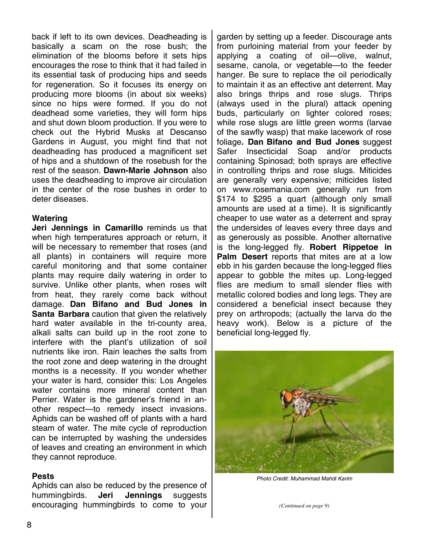back if left to its own devices. Deadheading is basically a scam on the rose bush; the elimination of the blooms before it sets hips encourages the rose to think that it had failed in its essential task of producing hips and seeds for regeneration. So it focuses its energy on producing more blooms (in about six weeks) since no hips were formed. If you do not deadhead some varieties, they will form hips and shut down bloom production. If you were to check out the Hybrid Musks at Descanso Gardens in August, you might find that not deadheading has produced a magnificent set of hips and a shutdown of the rosebush for the rest of the season. **Dawn-Marie Johnson** also uses the deadheading to improve air circulation in the center of the rose bushes in order to deter diseases.

### **Watering**

**Jeri Jennings in Camarillo** reminds us that when high temperatures approach or return, it will be necessary to remember that roses (and all plants) in containers will require more careful monitoring and that some container plants may require daily watering in order to survive. Unlike other plants, when roses wilt from heat, they rarely come back without damage. **Dan Bifano and Bud Jones in Santa Barbara** caution that given the relatively hard water available in the tri-county area, alkali salts can build up in the root zone to interfere with the plant's utilization of soil nutrients like iron. Rain leaches the salts from the root zone and deep watering in the drought months is a necessity. If you wonder whether your water is hard, consider this: Los Angeles water contains more mineral content than Perrier. Water is the gardener's friend in another respect—to remedy insect invasions. Aphids can be washed off of plants with a hard steam of water. The mite cycle of reproduction can be interrupted by washing the undersides of leaves and creating an environment in which they cannot reproduce.

### **Pests**

Aphids can also be reduced by the presence of hummingbirds. **Jeri Jennings** suggests encouraging hummingbirds to come to your

garden by setting up a feeder. Discourage ants from purloining material from your feeder by applying a coating of oil—olive, walnut, sesame, canola, or vegetable—to the feeder hanger. Be sure to replace the oil periodically to maintain it as an effective ant deterrent. May also brings thrips and rose slugs. Thrips (always used in the plural) attack opening buds, particularly on lighter colored roses; while rose slugs are little green worms (larvae of the sawfly wasp) that make lacework of rose foliage**. Dan Bifano and Bud Jones** suggest Safer Insecticidal Soap and/or products containing Spinosad; both sprays are effective in controlling thrips and rose slugs. Miticides are generally very expensive; miticides listed on www.rosemania.com generally run from \$174 to \$295 a quart (although only small amounts are used at a time). It is significantly cheaper to use water as a deterrent and spray the undersides of leaves every three days and as generously as possible. Another alternative is the long-legged fly. **Robert Rippetoe in Palm Desert** reports that mites are at a low ebb in his garden because the long-legged flies appear to gobble the mites up. Long-legged flies are medium to small slender flies with metallic colored bodies and long legs. They are considered a beneficial insect because they prey on arthropods; (actually the larva do the heavy work). Below is a picture of the beneficial long-legged fly.



*Photo Credit: Muhammad Mahdi Karim* 

*(Continued on page 9)*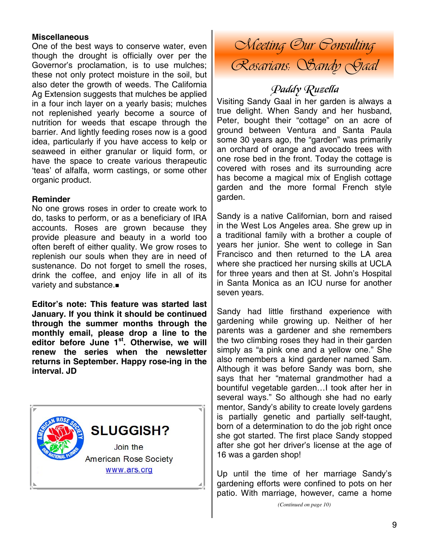### **Miscellaneous**

One of the best ways to conserve water, even though the drought is officially over per the Governor's proclamation, is to use mulches; these not only protect moisture in the soil, but also deter the growth of weeds. The California Ag Extension suggests that mulches be applied in a four inch layer on a yearly basis; mulches not replenished yearly become a source of nutrition for weeds that escape through the barrier. And lightly feeding roses now is a good idea, particularly if you have access to kelp or seaweed in either granular or liquid form, or have the space to create various therapeutic 'teas' of alfalfa, worm castings, or some other organic product.

### **Reminder**

No one grows roses in order to create work to do, tasks to perform, or as a beneficiary of IRA accounts. Roses are grown because they provide pleasure and beauty in a world too often bereft of either quality. We grow roses to replenish our souls when they are in need of sustenance. Do not forget to smell the roses, drink the coffee, and enjoy life in all of its variety and substance.

**Editor's note: This feature was started last January. If you think it should be continued through the summer months through the monthly email, please drop a line to the editor before June 1st. Otherwise, we will renew the series when the newsletter returns in September. Happy rose-ing in the interval. JD** 



*Meeting Our Consulting Rosarians: Sandy Gaal* 

## Paddy Ruzella

Visiting Sandy Gaal in her garden is always a true delight. When Sandy and her husband, Peter, bought their "cottage" on an acre of ground between Ventura and Santa Paula some 30 years ago, the "garden" was primarily an orchard of orange and avocado trees with one rose bed in the front. Today the cottage is covered with roses and its surrounding acre has become a magical mix of English cottage garden and the more formal French style garden.

Sandy is a native Californian, born and raised in the West Los Angeles area. She grew up in a traditional family with a brother a couple of years her junior. She went to college in San Francisco and then returned to the LA area where she practiced her nursing skills at UCLA for three years and then at St. John's Hospital in Santa Monica as an ICU nurse for another seven years.

Sandy had little firsthand experience with gardening while growing up. Neither of her parents was a gardener and she remembers the two climbing roses they had in their garden simply as "a pink one and a yellow one." She also remembers a kind gardener named Sam. Although it was before Sandy was born, she says that her "maternal grandmother had a bountiful vegetable garden…I took after her in several ways." So although she had no early mentor, Sandy's ability to create lovely gardens is partially genetic and partially self-taught, born of a determination to do the job right once she got started. The first place Sandy stopped after she got her driver's license at the age of 16 was a garden shop!

Up until the time of her marriage Sandy's gardening efforts were confined to pots on her patio. With marriage, however, came a home

*(Continued on page 10)*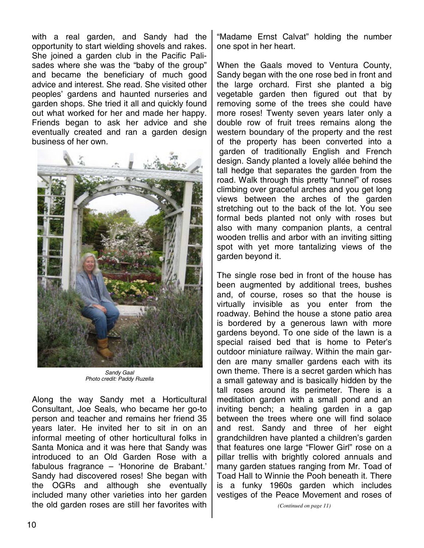with a real garden, and Sandy had the opportunity to start wielding shovels and rakes. She joined a garden club in the Pacific Palisades where she was the "baby of the group" and became the beneficiary of much good advice and interest. She read. She visited other peoples' gardens and haunted nurseries and garden shops. She tried it all and quickly found out what worked for her and made her happy. Friends began to ask her advice and she eventually created and ran a garden design business of her own.



*Sandy Gaal Photo credit: Paddy Ruzella* 

Along the way Sandy met a Horticultural Consultant, Joe Seals, who became her go-to person and teacher and remains her friend 35 years later. He invited her to sit in on an informal meeting of other horticultural folks in Santa Monica and it was here that Sandy was introduced to an Old Garden Rose with a fabulous fragrance – 'Honorine de Brabant.' Sandy had discovered roses! She began with the OGRs and although she eventually included many other varieties into her garden the old garden roses are still her favorites with

"Madame Ernst Calvat" holding the number one spot in her heart.

When the Gaals moved to Ventura County, Sandy began with the one rose bed in front and the large orchard. First she planted a big vegetable garden then figured out that by removing some of the trees she could have more roses! Twenty seven years later only a double row of fruit trees remains along the western boundary of the property and the rest of the property has been converted into a garden of traditionally English and French design. Sandy planted a lovely allée behind the tall hedge that separates the garden from the road. Walk through this pretty "tunnel" of roses climbing over graceful arches and you get long views between the arches of the garden stretching out to the back of the lot. You see formal beds planted not only with roses but also with many companion plants, a central wooden trellis and arbor with an inviting sitting spot with yet more tantalizing views of the garden beyond it.

The single rose bed in front of the house has been augmented by additional trees, bushes and, of course, roses so that the house is virtually invisible as you enter from the roadway. Behind the house a stone patio area is bordered by a generous lawn with more gardens beyond. To one side of the lawn is a special raised bed that is home to Peter's outdoor miniature railway. Within the main garden are many smaller gardens each with its own theme. There is a secret garden which has a small gateway and is basically hidden by the tall roses around its perimeter. There is a meditation garden with a small pond and an inviting bench; a healing garden in a gap between the trees where one will find solace and rest. Sandy and three of her eight grandchildren have planted a children's garden that features one large "Flower Girl" rose on a pillar trellis with brightly colored annuals and many garden statues ranging from Mr. Toad of Toad Hall to Winnie the Pooh beneath it. There is a funky 1960s garden which includes vestiges of the Peace Movement and roses of

*(Continued on page 11)*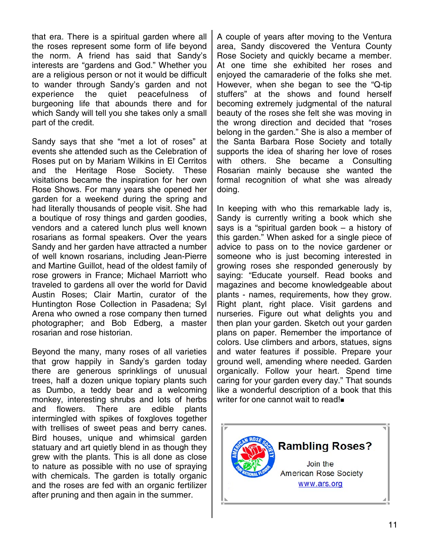that era. There is a spiritual garden where all the roses represent some form of life beyond the norm. A friend has said that Sandy's interests are "gardens and God." Whether you are a religious person or not it would be difficult to wander through Sandy's garden and not experience the quiet peacefulness of burgeoning life that abounds there and for which Sandy will tell you she takes only a small part of the credit.

Sandy says that she "met a lot of roses" at events she attended such as the Celebration of Roses put on by Mariam Wilkins in El Cerritos and the Heritage Rose Society. These visitations became the inspiration for her own Rose Shows. For many years she opened her garden for a weekend during the spring and had literally thousands of people visit. She had a boutique of rosy things and garden goodies, vendors and a catered lunch plus well known rosarians as formal speakers. Over the years Sandy and her garden have attracted a number of well known rosarians, including Jean-Pierre and Martine Guillot, head of the oldest family of rose growers in France; Michael Marriott who traveled to gardens all over the world for David Austin Roses; Clair Martin, curator of the Huntington Rose Collection in Pasadena; Syl Arena who owned a rose company then turned photographer; and Bob Edberg, a master rosarian and rose historian.

Beyond the many, many roses of all varieties that grow happily in Sandy's garden today there are generous sprinklings of unusual trees, half a dozen unique topiary plants such as Dumbo, a teddy bear and a welcoming monkey, interesting shrubs and lots of herbs and flowers. There are edible plants intermingled with spikes of foxgloves together with trellises of sweet peas and berry canes. Bird houses, unique and whimsical garden statuary and art quietly blend in as though they grew with the plants. This is all done as close to nature as possible with no use of spraying with chemicals. The garden is totally organic and the roses are fed with an organic fertilizer after pruning and then again in the summer.

A couple of years after moving to the Ventura area, Sandy discovered the Ventura County Rose Society and quickly became a member. At one time she exhibited her roses and enjoyed the camaraderie of the folks she met. However, when she began to see the "Q-tip stuffers" at the shows and found herself becoming extremely judgmental of the natural beauty of the roses she felt she was moving in the wrong direction and decided that "roses belong in the garden." She is also a member of the Santa Barbara Rose Society and totally supports the idea of sharing her love of roses with others. She became a Consulting Rosarian mainly because she wanted the formal recognition of what she was already doing.

In keeping with who this remarkable lady is, Sandy is currently writing a book which she says is a "spiritual garden book – a history of this garden." When asked for a single piece of advice to pass on to the novice gardener or someone who is just becoming interested in growing roses she responded generously by saying: "Educate yourself. Read books and magazines and become knowledgeable about plants - names, requirements, how they grow. Right plant, right place. Visit gardens and nurseries. Figure out what delights you and then plan your garden. Sketch out your garden plans on paper. Remember the importance of colors. Use climbers and arbors, statues, signs and water features if possible. Prepare your ground well, amending where needed. Garden organically. Follow your heart. Spend time caring for your garden every day." That sounds like a wonderful description of a book that this writer for one cannot wait to read!

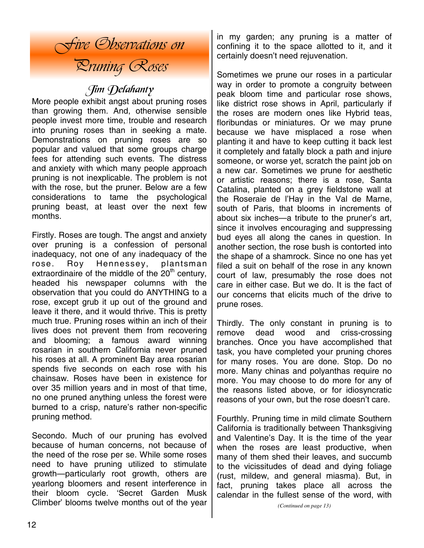

## Jim Delahanty

More people exhibit angst about pruning roses than growing them. And, otherwise sensible people invest more time, trouble and research into pruning roses than in seeking a mate. Demonstrations on pruning roses are so popular and valued that some groups charge fees for attending such events. The distress and anxiety with which many people approach pruning is not inexplicable. The problem is not with the rose, but the pruner. Below are a few considerations to tame the psychological pruning beast, at least over the next few months.

Firstly. Roses are tough. The angst and anxiety over pruning is a confession of personal inadequacy, not one of any inadequacy of the rose. Roy Hennessey, plantsman extraordinaire of the middle of the  $20<sup>th</sup>$  century, headed his newspaper columns with the observation that you could do ANYTHING to a rose, except grub it up out of the ground and leave it there, and it would thrive. This is pretty much true. Pruning roses within an inch of their lives does not prevent them from recovering and blooming; a famous award winning rosarian in southern California never pruned his roses at all. A prominent Bay area rosarian spends five seconds on each rose with his chainsaw. Roses have been in existence for over 35 million years and in most of that time, no one pruned anything unless the forest were burned to a crisp, nature's rather non-specific pruning method.

Secondo. Much of our pruning has evolved because of human concerns, not because of the need of the rose per se. While some roses need to have pruning utilized to stimulate growth—particularly root growth, others are yearlong bloomers and resent interference in their bloom cycle. 'Secret Garden Musk Climber' blooms twelve months out of the year in my garden; any pruning is a matter of confining it to the space allotted to it, and it certainly doesn't need rejuvenation.

Sometimes we prune our roses in a particular way in order to promote a congruity between peak bloom time and particular rose shows, like district rose shows in April, particularly if the roses are modern ones like Hybrid teas, floribundas or miniatures. Or we may prune because we have misplaced a rose when planting it and have to keep cutting it back lest it completely and fatally block a path and injure someone, or worse yet, scratch the paint job on a new car. Sometimes we prune for aesthetic or artistic reasons; there is a rose, Santa Catalina, planted on a grey fieldstone wall at the Roseraie de l'Hay in the Val de Marne, south of Paris, that blooms in increments of about six inches—a tribute to the pruner's art, since it involves encouraging and suppressing bud eyes all along the canes in question. In another section, the rose bush is contorted into the shape of a shamrock. Since no one has yet filed a suit on behalf of the rose in any known court of law, presumably the rose does not care in either case. But we do. It is the fact of our concerns that elicits much of the drive to prune roses.

Thirdly. The only constant in pruning is to remove dead wood and criss-crossing branches. Once you have accomplished that task, you have completed your pruning chores for many roses. You are done. Stop. Do no more. Many chinas and polyanthas require no more. You may choose to do more for any of the reasons listed above, or for idiosyncratic reasons of your own, but the rose doesn't care.

Fourthly. Pruning time in mild climate Southern California is traditionally between Thanksgiving and Valentine's Day. It is the time of the year when the roses are least productive, when many of them shed their leaves, and succumb to the vicissitudes of dead and dying foliage (rust, mildew, and general miasma). But, in fact, pruning takes place all across the calendar in the fullest sense of the word, with

*<sup>(</sup>Continued on page 13)*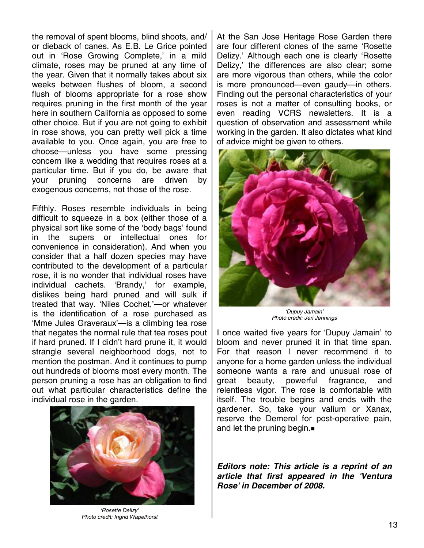the removal of spent blooms, blind shoots, and/ or dieback of canes. As E.B. Le Grice pointed out in 'Rose Growing Complete,' in a mild climate, roses may be pruned at any time of the year. Given that it normally takes about six weeks between flushes of bloom, a second flush of blooms appropriate for a rose show requires pruning in the first month of the year here in southern California as opposed to some other choice. But if you are not going to exhibit in rose shows, you can pretty well pick a time available to you. Once again, you are free to choose—unless you have some pressing concern like a wedding that requires roses at a particular time. But if you do, be aware that your pruning concerns are driven by exogenous concerns, not those of the rose.

Fifthly. Roses resemble individuals in being difficult to squeeze in a box (either those of a physical sort like some of the 'body bags' found in the supers or intellectual ones for convenience in consideration). And when you consider that a half dozen species may have contributed to the development of a particular rose, it is no wonder that individual roses have individual cachets. 'Brandy,' for example, dislikes being hard pruned and will sulk if treated that way. 'Niles Cochet,'—or whatever is the identification of a rose purchased as 'Mme Jules Graveraux'—is a climbing tea rose that negates the normal rule that tea roses pout if hard pruned. If I didn't hard prune it, it would strangle several neighborhood dogs, not to mention the postman. And it continues to pump out hundreds of blooms most every month. The person pruning a rose has an obligation to find out what particular characteristics define the individual rose in the garden.



*'Rosette Delizy' Photo credit: Ingrid Wapelhorst* 

At the San Jose Heritage Rose Garden there are four different clones of the same 'Rosette Delizy.' Although each one is clearly 'Rosette Delizy,' the differences are also clear; some are more vigorous than others, while the color is more pronounced—even gaudy—in others. Finding out the personal characteristics of your roses is not a matter of consulting books, or even reading VCRS newsletters. It is a question of observation and assessment while working in the garden. It also dictates what kind of advice might be given to others.



*'Dupuy Jamain' Photo credit: Jeri Jennings* 

I once waited five years for 'Dupuy Jamain' to bloom and never pruned it in that time span. For that reason I never recommend it to anyone for a home garden unless the individual someone wants a rare and unusual rose of great beauty, powerful fragrance, and relentless vigor. The rose is comfortable with itself. The trouble begins and ends with the gardener. So, take your valium or Xanax, reserve the Demerol for post-operative pain, and let the pruning begin.

*Editors note: This article is a reprint of an article that first appeared in the 'Ventura Rose' in December of 2008.*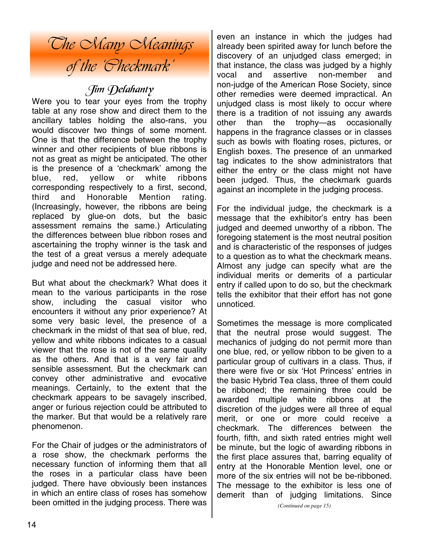# *The Many Meanings of the 'Checkmark'*

## Jim Delahanty

Were you to tear your eyes from the trophy table at any rose show and direct them to the ancillary tables holding the also-rans, you would discover two things of some moment. One is that the difference between the trophy winner and other recipients of blue ribbons is not as great as might be anticipated. The other is the presence of a 'checkmark' among the blue, red, yellow or white ribbons corresponding respectively to a first, second, third and Honorable Mention rating. (Increasingly, however, the ribbons are being replaced by glue-on dots, but the basic assessment remains the same.) Articulating the differences between blue ribbon roses and ascertaining the trophy winner is the task and the test of a great versus a merely adequate judge and need not be addressed here.

But what about the checkmark? What does it mean to the various participants in the rose show, including the casual visitor who encounters it without any prior experience? At some very basic level, the presence of a checkmark in the midst of that sea of blue, red, yellow and white ribbons indicates to a casual viewer that the rose is not of the same quality as the others. And that is a very fair and sensible assessment. But the checkmark can convey other administrative and evocative meanings. Certainly, to the extent that the checkmark appears to be savagely inscribed, anger or furious rejection could be attributed to the marker. But that would be a relatively rare phenomenon.

For the Chair of judges or the administrators of a rose show, the checkmark performs the necessary function of informing them that all the roses in a particular class have been judged. There have obviously been instances in which an entire class of roses has somehow been omitted in the judging process. There was even an instance in which the judges had already been spirited away for lunch before the discovery of an unjudged class emerged; in that instance, the class was judged by a highly vocal and assertive non-member and non-judge of the American Rose Society, since other remedies were deemed impractical. An unjudged class is most likely to occur where there is a tradition of not issuing any awards other than the trophy—as occasionally happens in the fragrance classes or in classes such as bowls with floating roses, pictures, or English boxes. The presence of an unmarked tag indicates to the show administrators that either the entry or the class might not have been judged. Thus, the checkmark guards against an incomplete in the judging process.

For the individual judge, the checkmark is a message that the exhibitor's entry has been judged and deemed unworthy of a ribbon. The foregoing statement is the most neutral position and is characteristic of the responses of judges to a question as to what the checkmark means. Almost any judge can specify what are the individual merits or demerits of a particular entry if called upon to do so, but the checkmark tells the exhibitor that their effort has not gone unnoticed.

Sometimes the message is more complicated that the neutral prose would suggest. The mechanics of judging do not permit more than one blue, red, or yellow ribbon to be given to a particular group of cultivars in a class. Thus, if there were five or six 'Hot Princess' entries in the basic Hybrid Tea class, three of them could be ribboned; the remaining three could be awarded multiple white ribbons at the discretion of the judges were all three of equal merit, or one or more could receive a checkmark. The differences between the fourth, fifth, and sixth rated entries might well be minute, but the logic of awarding ribbons in the first place assures that, barring equality of entry at the Honorable Mention level, one or more of the six entries will not be be-ribboned. The message to the exhibitor is less one of demerit than of judging limitations. Since

*(Continued on page 15)*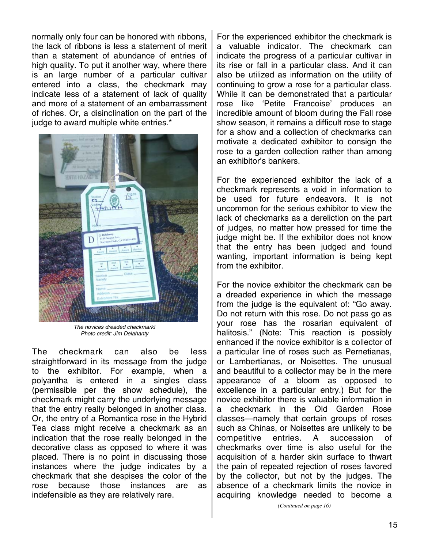normally only four can be honored with ribbons, the lack of ribbons is less a statement of merit than a statement of abundance of entries of high quality. To put it another way, where there is an large number of a particular cultivar entered into a class, the checkmark may indicate less of a statement of lack of quality and more of a statement of an embarrassment of riches. Or, a disinclination on the part of the judge to award multiple white entries.\*



*The novices dreaded checkmark! Photo credit: Jim Delahanty* 

The checkmark can also be less straightforward in its message from the judge to the exhibitor. For example, when a polyantha is entered in a singles class (permissible per the show schedule), the checkmark might carry the underlying message that the entry really belonged in another class. Or, the entry of a Romantica rose in the Hybrid Tea class might receive a checkmark as an indication that the rose really belonged in the decorative class as opposed to where it was placed. There is no point in discussing those instances where the judge indicates by a checkmark that she despises the color of the rose because those instances are as indefensible as they are relatively rare.

For the experienced exhibitor the checkmark is a valuable indicator. The checkmark can indicate the progress of a particular cultivar in its rise or fall in a particular class. And it can also be utilized as information on the utility of continuing to grow a rose for a particular class. While it can be demonstrated that a particular rose like 'Petite Francoise' produces an incredible amount of bloom during the Fall rose show season, it remains a difficult rose to stage for a show and a collection of checkmarks can motivate a dedicated exhibitor to consign the rose to a garden collection rather than among an exhibitor's bankers.

For the experienced exhibitor the lack of a checkmark represents a void in information to be used for future endeavors. It is not uncommon for the serious exhibitor to view the lack of checkmarks as a dereliction on the part of judges, no matter how pressed for time the judge might be. If the exhibitor does not know that the entry has been judged and found wanting, important information is being kept from the exhibitor.

For the novice exhibitor the checkmark can be a dreaded experience in which the message from the judge is the equivalent of: "Go away. Do not return with this rose. Do not pass go as your rose has the rosarian equivalent of halitosis." (Note: This reaction is possibly enhanced if the novice exhibitor is a collector of a particular line of roses such as Pernetianas, or Lambertianas, or Noisettes. The unusual and beautiful to a collector may be in the mere appearance of a bloom as opposed to excellence in a particular entry.) But for the novice exhibitor there is valuable information in a checkmark in the Old Garden Rose classes—namely that certain groups of roses such as Chinas, or Noisettes are unlikely to be competitive entries. A succession of checkmarks over time is also useful for the acquisition of a harder skin surface to thwart the pain of repeated rejection of roses favored by the collector, but not by the judges. The absence of a checkmark limits the novice in acquiring knowledge needed to become a

*(Continued on page 16)*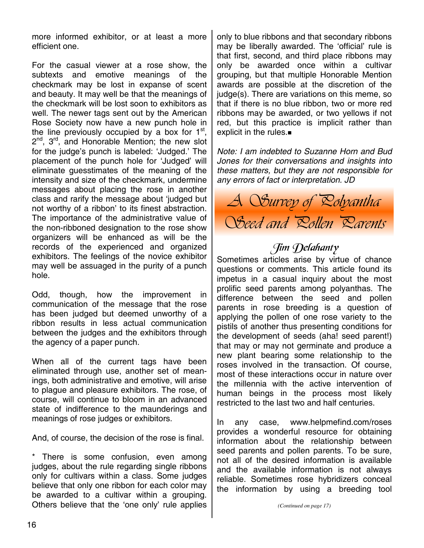more informed exhibitor, or at least a more efficient one.

For the casual viewer at a rose show, the subtexts and emotive meanings of the checkmark may be lost in expanse of scent and beauty. It may well be that the meanings of the checkmark will be lost soon to exhibitors as well. The newer tags sent out by the American Rose Society now have a new punch hole in the line previously occupied by a box for  $1<sup>st</sup>$ , 2<sup>nd</sup>, 3<sup>rd</sup>, and Honorable Mention; the new slot for the judge's punch is labeled: 'Judged.' The placement of the punch hole for 'Judged' will eliminate guesstimates of the meaning of the intensity and size of the checkmark, undermine messages about placing the rose in another class and rarify the message about 'judged but not worthy of a ribbon' to its finest abstraction. The importance of the administrative value of the non-ribboned designation to the rose show organizers will be enhanced as will be the records of the experienced and organized exhibitors. The feelings of the novice exhibitor may well be assuaged in the purity of a punch hole.

Odd, though, how the improvement in communication of the message that the rose has been judged but deemed unworthy of a ribbon results in less actual communication between the judges and the exhibitors through the agency of a paper punch.

When all of the current tags have been eliminated through use, another set of meanings, both administrative and emotive, will arise to plague and pleasure exhibitors. The rose, of course, will continue to bloom in an advanced state of indifference to the maunderings and meanings of rose judges or exhibitors.

And, of course, the decision of the rose is final.

There is some confusion, even among judges, about the rule regarding single ribbons only for cultivars within a class. Some judges believe that only one ribbon for each color may be awarded to a cultivar within a grouping. Others believe that the 'one only' rule applies only to blue ribbons and that secondary ribbons may be liberally awarded. The 'official' rule is that first, second, and third place ribbons may only be awarded once within a cultivar grouping, but that multiple Honorable Mention awards are possible at the discretion of the judge(s). There are variations on this meme, so that if there is no blue ribbon, two or more red ribbons may be awarded, or two yellows if not red, but this practice is implicit rather than explicit in the rules.

*Note: I am indebted to Suzanne Horn and Bud Jones for their conversations and insights into these matters, but they are not responsible for any errors of fact or interpretation. JD* 



## Jim Delahanty

Sometimes articles arise by virtue of chance questions or comments. This article found its impetus in a casual inquiry about the most prolific seed parents among polyanthas. The difference between the seed and pollen parents in rose breeding is a question of applying the pollen of one rose variety to the pistils of another thus presenting conditions for the development of seeds (aha! seed parent!) that may or may not germinate and produce a new plant bearing some relationship to the roses involved in the transaction. Of course, most of these interactions occur in nature over the millennia with the active intervention of human beings in the process most likely restricted to the last two and half centuries.

In any case, www.helpmefind.com/roses provides a wonderful resource for obtaining information about the relationship between seed parents and pollen parents. To be sure, not all of the desired information is available and the available information is not always reliable. Sometimes rose hybridizers conceal the information by using a breeding tool

*(Continued on page 17)*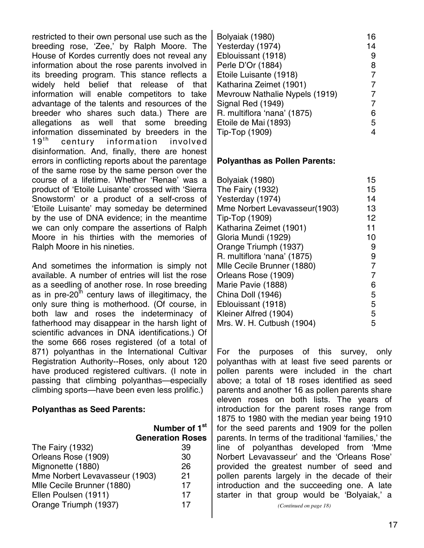restricted to their own personal use such as the breeding rose, 'Zee,' by Ralph Moore. The House of Kordes currently does not reveal any information about the rose parents involved in its breeding program. This stance reflects a widely held belief that release of that information will enable competitors to take advantage of the talents and resources of the breeder who shares such data.) There are allegations as well that some breeding information disseminated by breeders in the 19<sup>th</sup> century information involved disinformation. And, finally, there are honest errors in conflicting reports about the parentage of the same rose by the same person over the course of a lifetime. Whether 'Renae' was a product of 'Etoile Luisante' crossed with 'Sierra Snowstorm' or a product of a self-cross of 'Etoile Luisante' may someday be determined by the use of DNA evidence; in the meantime we can only compare the assertions of Ralph Moore in his thirties with the memories of Ralph Moore in his nineties.

And sometimes the information is simply not available. A number of entries will list the rose as a seedling of another rose. In rose breeding as in pre-20<sup>th</sup> century laws of illegitimacy, the only sure thing is motherhood. (Of course, in both law and roses the indeterminacy of fatherhood may disappear in the harsh light of scientific advances in DNA identifications.) Of the some 666 roses registered (of a total of 871) polyanthas in the International Cultivar Registration Authority--Roses, only about 120 have produced registered cultivars. (I note in passing that climbing polyanthas—especially climbing sports—have been even less prolific.)

### **Polyanthas as Seed Parents:**

|                                | Number of T             |  |
|--------------------------------|-------------------------|--|
|                                | <b>Generation Roses</b> |  |
| The Fairy (1932)               | 39                      |  |
| Orleans Rose (1909)            | 30                      |  |
| Mignonette (1880)              | 26                      |  |
| Mme Norbert Levavasseur (1903) | 21                      |  |
| Mlle Cecile Brunner (1880)     | 17                      |  |
| Ellen Poulsen (1911)           | 17                      |  |
| Orange Triumph (1937)          | 17                      |  |
|                                |                         |  |

**Number of 1st** 

| Bolyaiak (1980)                | 16 |
|--------------------------------|----|
| Yesterday (1974)               | 14 |
| Eblouissant (1918)             | 9  |
| Perle D'Or (1884)              | 8  |
| Etoile Luisante (1918)         | 7  |
| Katharina Zeimet (1901)        |    |
| Mevrouw Nathalie Nypels (1919) |    |
| Signal Red (1949)              | 7  |
| R. multiflora 'nana' (1875)    | 6  |
| Etoile de Mai (1893)           | 5  |
| Tip-Top (1909)                 |    |

### **Polyanthas as Pollen Parents:**

| Bolyaiak (1980)               | 15             |
|-------------------------------|----------------|
| The Fairy (1932)              | 15             |
| Yesterday (1974)              | 14             |
| Mme Norbert Levavasseur(1903) | 13             |
| Tip-Top (1909)                | 12             |
| Katharina Zeimet (1901)       | 11             |
| Gloria Mundi (1929)           | 10             |
| Orange Triumph (1937)         | 9              |
| R. multiflora 'nana' (1875)   | 9              |
| Mile Cecile Brunner (1880)    | 7              |
| Orleans Rose (1909)           | $\overline{7}$ |
| Marie Pavie (1888)            | 6              |
| China Doll (1946)             | 5              |
| Eblouissant (1918)            | 5              |
| Kleiner Alfred (1904)         | 5              |
| Mrs. W. H. Cutbush (1904)     | 5              |

For the purposes of this survey, only polyanthas with at least five seed parents or pollen parents were included in the chart above; a total of 18 roses identified as seed parents and another 16 as pollen parents share eleven roses on both lists. The years of introduction for the parent roses range from 1875 to 1980 with the median year being 1910 for the seed parents and 1909 for the pollen parents. In terms of the traditional 'families,' the line of polyanthas developed from 'Mme Norbert Levavasseur' and the 'Orleans Rose' provided the greatest number of seed and pollen parents largely in the decade of their introduction and the succeeding one. A late starter in that group would be 'Bolyaiak,' a

*(Continued on page 18)*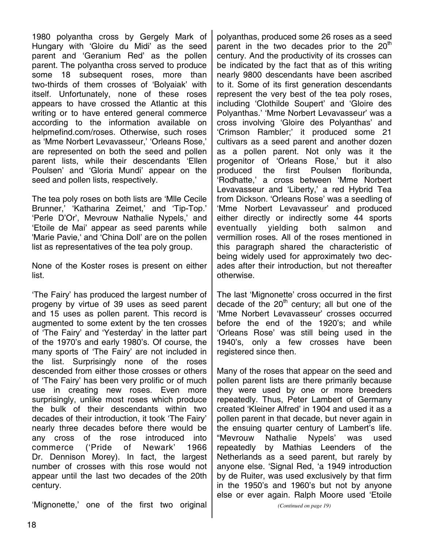1980 polyantha cross by Gergely Mark of Hungary with 'Gloire du Midi' as the seed parent and 'Geranium Red' as the pollen parent. The polyantha cross served to produce some 18 subsequent roses, more than two-thirds of them crosses of 'Bolyaiak' with itself. Unfortunately, none of these roses appears to have crossed the Atlantic at this writing or to have entered general commerce according to the information available on helpmefind.com/roses. Otherwise, such roses as 'Mme Norbert Levavasseur,' 'Orleans Rose,' are represented on both the seed and pollen parent lists, while their descendants 'Ellen Poulsen' and 'Gloria Mundi' appear on the seed and pollen lists, respectively.

The tea poly roses on both lists are 'Mlle Cecile Brunner,' 'Katharina Zeimet,' and 'Tip-Top.' 'Perle D'Or', Mevrouw Nathalie Nypels,' and 'Etoile de Mai' appear as seed parents while 'Marie Pavie,' and 'China Doll' are on the pollen list as representatives of the tea poly group.

None of the Koster roses is present on either list.

'The Fairy' has produced the largest number of progeny by virtue of 39 uses as seed parent and 15 uses as pollen parent. This record is augmented to some extent by the ten crosses of 'The Fairy' and 'Yesterday' in the latter part of the 1970's and early 1980's. Of course, the many sports of 'The Fairy' are not included in the list. Surprisingly none of the roses descended from either those crosses or others of 'The Fairy' has been very prolific or of much use in creating new roses. Even more surprisingly, unlike most roses which produce the bulk of their descendants within two decades of their introduction, it took 'The Fairy' nearly three decades before there would be any cross of the rose introduced into commerce ('Pride of Newark' 1966 Dr. Dennison Morey). In fact, the largest number of crosses with this rose would not appear until the last two decades of the 20th century.

'Mignonette,' one of the first two original

polyanthas, produced some 26 roses as a seed parent in the two decades prior to the  $20<sup>th</sup>$ century. And the productivity of its crosses can be indicated by the fact that as of this writing nearly 9800 descendants have been ascribed to it. Some of its first generation descendants represent the very best of the tea poly roses, including 'Clothilde Soupert' and 'Gloire des Polyanthas.' 'Mme Norbert Levavasseur' was a cross involving 'Gloire des Polyanthas' and 'Crimson Rambler;' it produced some 21 cultivars as a seed parent and another dozen as a pollen parent. Not only was it the progenitor of 'Orleans Rose,' but it also produced the first Poulsen floribunda, 'Rodhatte,' a cross between 'Mme Norbert Levavasseur and 'Liberty,' a red Hybrid Tea from Dickson. 'Orleans Rose' was a seedling of 'Mme Norbert Levavasseur' and produced either directly or indirectly some 44 sports eventually yielding both salmon and vermillion roses. All of the roses mentioned in this paragraph shared the characteristic of being widely used for approximately two decades after their introduction, but not thereafter otherwise.

The last 'Mignonette' cross occurred in the first decade of the  $20<sup>th</sup>$  century; all but one of the 'Mme Norbert Levavasseur' crosses occurred before the end of the 1920's; and while 'Orleans Rose' was still being used in the 1940's, only a few crosses have been registered since then.

Many of the roses that appear on the seed and pollen parent lists are there primarily because they were used by one or more breeders repeatedly. Thus, Peter Lambert of Germany created 'Kleiner Alfred' in 1904 and used it as a pollen parent in that decade, but never again in the ensuing quarter century of Lambert's life. "Mevrouw Nathalie Nypels' was used repeatedly by Mathias Leenders of the Netherlands as a seed parent, but rarely by anyone else. 'Signal Red, 'a 1949 introduction by de Ruiter, was used exclusively by that firm in the 1950's and 1960's but not by anyone else or ever again. Ralph Moore used 'Etoile

*<sup>(</sup>Continued on page 19)*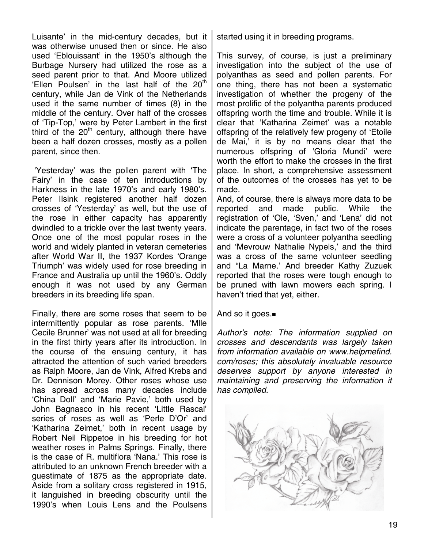Luisante' in the mid-century decades, but it was otherwise unused then or since. He also used 'Eblouissant' in the 1950's although the Burbage Nursery had utilized the rose as a seed parent prior to that. And Moore utilized 'Ellen Poulsen' in the last half of the  $20<sup>th</sup>$ century, while Jan de Vink of the Netherlands used it the same number of times (8) in the middle of the century. Over half of the crosses of 'Tip-Top,' were by Peter Lambert in the first third of the  $20<sup>th</sup>$  century, although there have been a half dozen crosses, mostly as a pollen parent, since then.

 'Yesterday' was the pollen parent with 'The Fairy' in the case of ten introductions by Harkness in the late 1970's and early 1980's. Peter Ilsink registered another half dozen crosses of 'Yesterday' as well, but the use of the rose in either capacity has apparently dwindled to a trickle over the last twenty years. Once one of the most popular roses in the world and widely planted in veteran cemeteries after World War II, the 1937 Kordes 'Orange Triumph' was widely used for rose breeding in France and Australia up until the 1960's. Oddly enough it was not used by any German breeders in its breeding life span.

Finally, there are some roses that seem to be intermittently popular as rose parents. 'Mlle Cecile Brunner' was not used at all for breeding in the first thirty years after its introduction. In the course of the ensuing century, it has attracted the attention of such varied breeders as Ralph Moore, Jan de Vink, Alfred Krebs and Dr. Dennison Morey. Other roses whose use has spread across many decades include 'China Doll' and 'Marie Pavie,' both used by John Bagnasco in his recent 'Little Rascal' series of roses as well as 'Perle D'Or' and 'Katharina Zeimet,' both in recent usage by Robert Neil Rippetoe in his breeding for hot weather roses in Palms Springs. Finally, there is the case of R. multiflora 'Nana.' This rose is attributed to an unknown French breeder with a guestimate of 1875 as the appropriate date. Aside from a solitary cross registered in 1915, it languished in breeding obscurity until the 1990's when Louis Lens and the Poulsens started using it in breeding programs.

This survey, of course, is just a preliminary investigation into the subject of the use of polyanthas as seed and pollen parents. For one thing, there has not been a systematic investigation of whether the progeny of the most prolific of the polyantha parents produced offspring worth the time and trouble. While it is clear that 'Katharina Zeimet' was a notable offspring of the relatively few progeny of 'Etoile de Mai,' it is by no means clear that the numerous offspring of 'Gloria Mundi' were worth the effort to make the crosses in the first place. In short, a comprehensive assessment of the outcomes of the crosses has yet to be made.

And, of course, there is always more data to be reported and made public. While the registration of 'Ole, 'Sven,' and 'Lena' did not indicate the parentage, in fact two of the roses were a cross of a volunteer polyantha seedling and 'Mevrouw Nathalie Nypels,' and the third was a cross of the same volunteer seedling and "La Marne.' And breeder Kathy Zuzuek reported that the roses were tough enough to be pruned with lawn mowers each spring. I haven't tried that yet, either.

And so it goes.■

*Author's note: The information supplied on crosses and descendants was largely taken from information available on www.helpmefind. com/roses; this absolutely invaluable resource deserves support by anyone interested in maintaining and preserving the information it has compiled.*

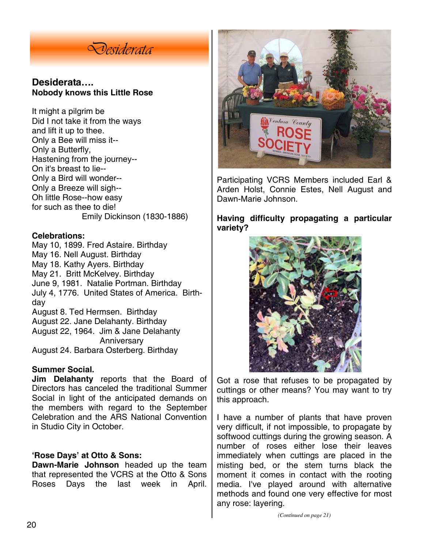

### **Desiderata…. Nobody knows this Little Rose**

It might a pilgrim be Did I not take it from the ways and lift it up to thee. Only a Bee will miss it-- Only a Butterfly, Hastening from the journey-- On it's breast to lie-- Only a Bird will wonder-- Only a Breeze will sigh-- Oh little Rose--how easy for such as thee to die! Emily Dickinson (1830-1886)

### **Celebrations:**

May 10, 1899. Fred Astaire. Birthday May 16. Nell August. Birthday May 18. Kathy Ayers. Birthday May 21. Britt McKelvey. Birthday June 9, 1981. Natalie Portman. Birthday July 4, 1776. United States of America. Birthday August 8. Ted Hermsen. Birthday August 22. Jane Delahanty. Birthday August 22, 1964. Jim & Jane Delahanty Anniversary August 24. Barbara Osterberg. Birthday

### **Summer Social.**

**Jim Delahanty** reports that the Board of Directors has canceled the traditional Summer Social in light of the anticipated demands on the members with regard to the September Celebration and the ARS National Convention in Studio City in October.

### **'Rose Days' at Otto & Sons:**

**Dawn-Marie Johnson** headed up the team that represented the VCRS at the Otto & Sons Roses Days the last week in April.



Participating VCRS Members included Earl & Arden Holst, Connie Estes, Nell August and Dawn-Marie Johnson.

**Having difficulty propagating a particular variety?** 



Got a rose that refuses to be propagated by cuttings or other means? You may want to try this approach.

I have a number of plants that have proven very difficult, if not impossible, to propagate by softwood cuttings during the growing season. A number of roses either lose their leaves immediately when cuttings are placed in the misting bed, or the stem turns black the moment it comes in contact with the rooting media. I've played around with alternative methods and found one very effective for most any rose: layering.

*(Continued on page 21)*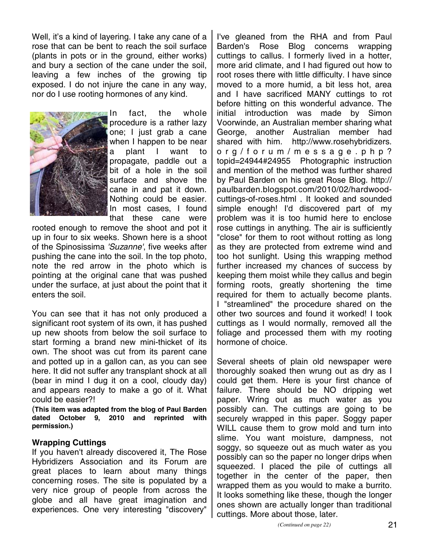Well, it's a kind of layering. I take any cane of a rose that can be bent to reach the soil surface (plants in pots or in the ground, either works) and bury a section of the cane under the soil, leaving a few inches of the growing tip exposed. I do not injure the cane in any way, nor do I use rooting hormones of any kind.



In fact, the whole procedure is a rather lazy one; I just grab a cane when I happen to be near plant I want to propagate, paddle out a bit of a hole in the soil surface and shove the cane in and pat it down. Nothing could be easier. In most cases, I found that these cane were

rooted enough to remove the shoot and pot it up in four to six weeks. Shown here is a shoot of the Spinosissima *'Suzanne'*, five weeks after pushing the cane into the soil. In the top photo, note the red arrow in the photo which is pointing at the original cane that was pushed under the surface, at just about the point that it enters the soil.

You can see that it has not only produced a significant root system of its own, it has pushed up new shoots from below the soil surface to start forming a brand new mini-thicket of its own. The shoot was cut from its parent cane and potted up in a gallon can, as you can see here. It did not suffer any transplant shock at all (bear in mind I dug it on a cool, cloudy day) and appears ready to make a go of it. What could be easier?!

(**This item was adapted from the blog of Paul Barden dated October 9, 2010 and reprinted with permission.)**

### **Wrapping Cuttings**

If you haven't already discovered it, The Rose Hybridizers Association and its Forum are great places to learn about many things concerning roses. The site is populated by a very nice group of people from across the globe and all have great imagination and experiences. One very interesting "discovery"

I've gleaned from the RHA and from Paul Barden's Rose Blog concerns wrapping cuttings to callus. I formerly lived in a hotter, more arid climate, and I had figured out how to root roses there with little difficulty. I have since moved to a more humid, a bit less hot, area and I have sacrificed MANY cuttings to rot before hitting on this wonderful advance. The initial introduction was made by Simon Voorwinde, an Australian member sharing what George, another Australian member had shared with him. http://www.rosehybridizers. org/forum/message.php? topid=24944#24955 Photographic instruction and mention of the method was further shared by Paul Barden on his great Rose Blog. http:// paulbarden.blogspot.com/2010/02/hardwoodcuttings-of-roses.html . It looked and sounded simple enough! I'd discovered part of my problem was it is too humid here to enclose rose cuttings in anything. The air is sufficiently "close" for them to root without rotting as long as they are protected from extreme wind and too hot sunlight. Using this wrapping method further increased my chances of success by keeping them moist while they callus and begin forming roots, greatly shortening the time required for them to actually become plants. I "streamlined" the procedure shared on the other two sources and found it worked! I took cuttings as I would normally, removed all the foliage and processed them with my rooting hormone of choice.

Several sheets of plain old newspaper were thoroughly soaked then wrung out as dry as I could get them. Here is your first chance of failure. There should be NO dripping wet paper. Wring out as much water as you possibly can. The cuttings are going to be securely wrapped in this paper. Soggy paper WILL cause them to grow mold and turn into slime. You want moisture, dampness, not soggy, so squeeze out as much water as you possibly can so the paper no longer drips when squeezed. I placed the pile of cuttings all together in the center of the paper, then wrapped them as you would to make a burrito. It looks something like these, though the longer ones shown are actually longer than traditional cuttings. More about those, later.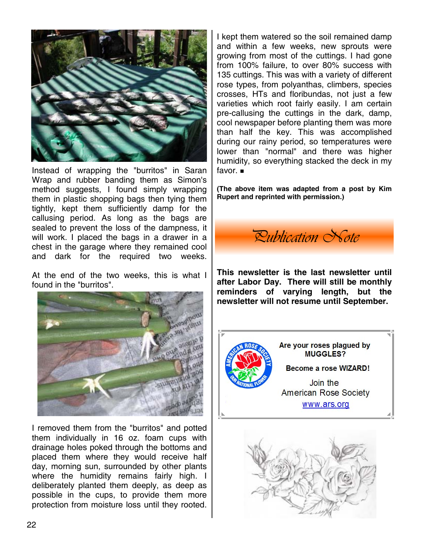

Instead of wrapping the "burritos" in Saran Wrap and rubber banding them as Simon's method suggests, I found simply wrapping them in plastic shopping bags then tying them tightly, kept them sufficiently damp for the callusing period. As long as the bags are sealed to prevent the loss of the dampness, it will work. I placed the bags in a drawer in a chest in the garage where they remained cool and dark for the required two weeks.

At the end of the two weeks, this is what I found in the "burritos".



I removed them from the "burritos" and potted them individually in 16 oz. foam cups with drainage holes poked through the bottoms and placed them where they would receive half day, morning sun, surrounded by other plants where the humidity remains fairly high. I deliberately planted them deeply, as deep as possible in the cups, to provide them more protection from moisture loss until they rooted.

I kept them watered so the soil remained damp and within a few weeks, new sprouts were growing from most of the cuttings. I had gone from 100% failure, to over 80% success with 135 cuttings. This was with a variety of different rose types, from polyanthas, climbers, species crosses, HTs and floribundas, not just a few varieties which root fairly easily. I am certain pre-callusing the cuttings in the dark, damp, cool newspaper before planting them was more than half the key. This was accomplished during our rainy period, so temperatures were lower than "normal" and there was higher humidity, so everything stacked the deck in my favor.

**(The above item was adapted from a post by Kim Rupert and reprinted with permission.)** 

*Publication Note* 

**This newsletter is the last newsletter until after Labor Day. There will still be monthly reminders of varying length, but the newsletter will not resume until September.**